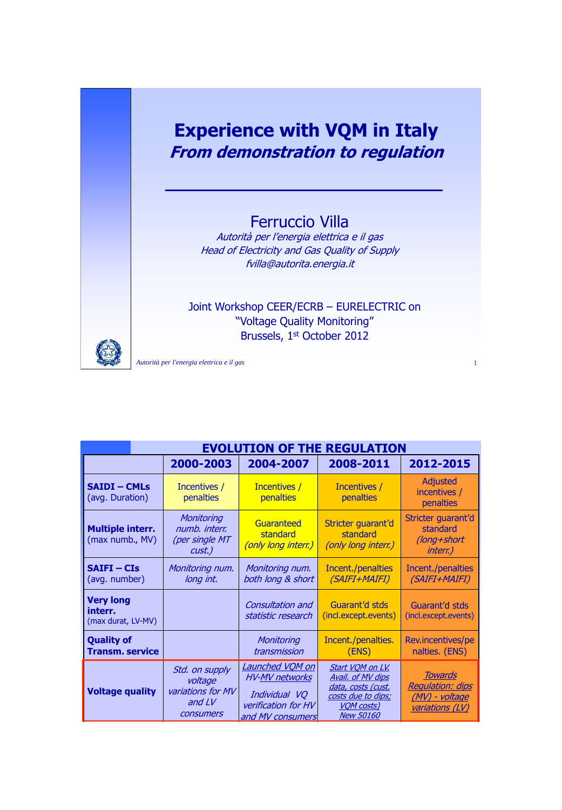# **Experience with VQM in Italy From demonstration to regulation**

# Ferruccio Villa

Autorità per l'energia elettrica e il gas Head of Electricity and Gas Quality of Supply fvilla@autorita.energia.it

Joint Workshop CEER/ECRB – EURELECTRIC on "Voltage Quality Monitoring" Brussels, 1st October 2012



| <b>EVOLUTION OF THE REGULATION</b>                |                                                                         |                                                                                                             |                                                                                                                     |                                                                                       |  |  |
|---------------------------------------------------|-------------------------------------------------------------------------|-------------------------------------------------------------------------------------------------------------|---------------------------------------------------------------------------------------------------------------------|---------------------------------------------------------------------------------------|--|--|
|                                                   | 2000-2003                                                               | 2004-2007                                                                                                   | 2008-2011                                                                                                           | 2012-2015                                                                             |  |  |
| <b>SAIDI - CMLs</b><br>(avg. Duration)            | Incentives /<br>penalties                                               | Incentives /<br>penalties                                                                                   | Incentives /<br>penalties                                                                                           | Adjusted<br>incentives /<br><b>penalties</b>                                          |  |  |
| <b>Multiple interr.</b><br>(max numb., MV)        | Monitoring<br>numb. interr.<br>(per single MT<br>cust.)                 | Guaranteed<br>standard<br>(only long interr.)                                                               | Stricter guarant'd<br>standard<br>(only long interr.)                                                               | Stricter guarant'd<br>standard<br>(long+short<br><i>interr.)</i>                      |  |  |
| <b>SAIFI-CIS</b><br>(avg. number)                 | Monitoring num.<br>long int.                                            | Monitoring num.<br>both long & short                                                                        | Incent./penalties<br>(SAIFI+MAIFI)                                                                                  | Incent./penalties<br>(SAIFI+MAIFI)                                                    |  |  |
| <b>Very long</b><br>interr.<br>(max durat, LV-MV) |                                                                         | Consultation and<br>statistic research                                                                      | Guarant'd stds<br>(incl.except.events)                                                                              | Guarant'd stds<br>(incl.except.events)                                                |  |  |
| <b>Quality of</b><br><b>Transm. service</b>       |                                                                         | Monitoring<br>transmission                                                                                  | Incent./penalties.<br>(ENS)                                                                                         | Rev.incentives/pe<br>nalties. (ENS)                                                   |  |  |
| <b>Voltage quality</b>                            | Std. on supply<br>voltage<br>variations for MV<br>and $LV$<br>consumers | <u>Launched VQM on</u><br><b>HV-MV</b> networks<br>Individual VQ<br>verification for HV<br>and MV consumers | Start VQM on LV.<br>Avail. of MV dips<br>data, costs (cust.<br>costs due to dips;<br>VQM costs)<br><b>New 50160</b> | <b>Towards</b><br><b>Requlation: dips</b><br>(MV) - voltage<br><u>variations (LV)</u> |  |  |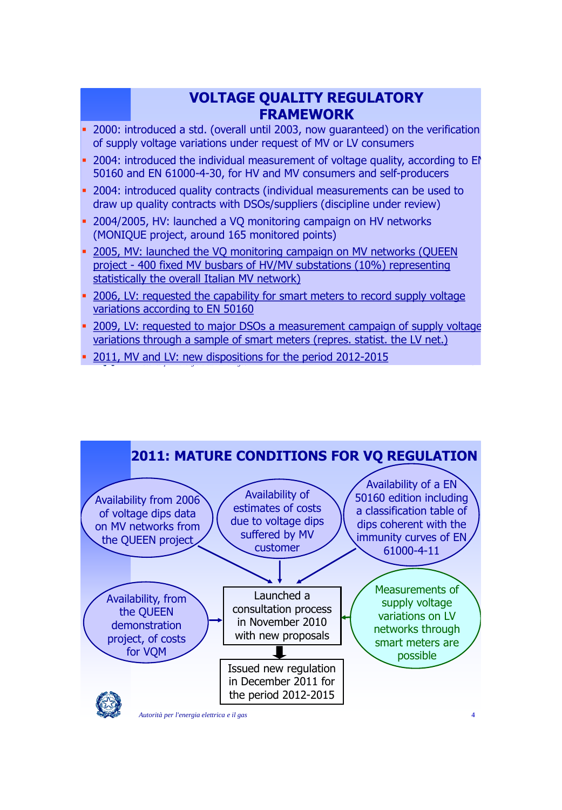# **VOLTAGE QUALITY REGULATORY FRAMEWORK**

- 2000: introduced a std. (overall until 2003, now guaranteed) on the verification of supply voltage variations under request of MV or LV consumers
- 2004: introduced the individual measurement of voltage quality, according to EN 50160 and EN 61000-4-30, for HV and MV consumers and self-producers
- 2004: introduced quality contracts (individual measurements can be used to draw up quality contracts with DSOs/suppliers (discipline under review)
- 2004/2005, HV: launched a VQ monitoring campaign on HV networks (MONIQUE project, around 165 monitored points)
- <sup>2005</sup>, MV: launched the VQ monitoring campaign on MV networks (QUEEN project - 400 fixed MV busbars of HV/MV substations (10%) representing statistically the overall Italian MV network)
- 2006, LV: requested the capability for smart meters to record supply voltage variations according to EN 50160
- 2009, LV: requested to major DSOs a measurement campaign of supply voltage variations through a sample of smart meters (repres. statist. the LV net.)
- **Autority 2011, MV and LV: new dispositions for the period 2012-2015**

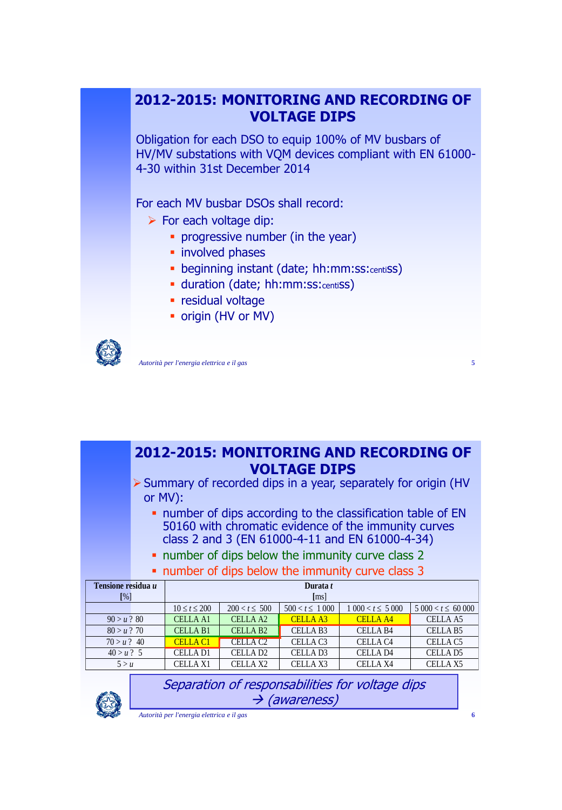# **2012-2015: MONITORING AND RECORDING OF VOLTAGE DIPS**

Obligation for each DSO to equip 100% of MV busbars of HV/MV substations with VQM devices compliant with EN 61000- 4-30 within 31st December 2014

For each MV busbar DSOs shall record:

- $\triangleright$  For each voltage dip:
	- **•** progressive number (in the year)
	- **·** involved phases
	- beginning instant (date; hh:mm:ss:centiss)
	- **duration (date; hh:mm:ss:centiSS)**
	- **•** residual voltage
	- origin (HV or MV)



*Autorità per l'energia elettrica e il gas* **5**

| > Summary of recorded dips in a year, separately for origin (HV<br>or MV):<br>• number of dips according to the classification table of EN<br>50160 with chromatic evidence of the immunity curves<br>class 2 and 3 (EN 61000-4-11 and EN 61000-4-34)<br>• number of dips below the immunity curve class 2<br>• number of dips below the immunity curve class 3<br>Tensione residua u<br>Durata t<br>$\lceil\% \rceil$<br>$\lceil ms \rceil$<br>$10 \le t \le 200$<br>$200 < t \leq 500$<br>$500 < t \leq 1000$<br>$1\,000 < t \leq 5\,000$<br>$5000 < t \leq 60000$<br>$90 > u$ ? 80<br>CELLA <sub>A2</sub><br>CELLA A1<br>CELLA <sub>A3</sub><br><b>CELLA A4</b><br>CELLA A5<br>$80 > u$ ? 70<br><b>CELLA B2</b><br>CELLA <sub>B3</sub><br>CELLA <sub>B4</sub><br><b>CELLA B1</b><br>CELLA <sub>B5</sub><br>$70 > u$ ? 40<br><b>CELLA C1</b><br>CELLA C <sub>2</sub><br>CELLA <sub>C3</sub><br><b>CELLA C4</b><br><b>CELLA C5</b><br>$40 > u$ ? 5<br><b>CELLA D1</b><br>CELLA D <sub>2</sub><br>CELLA D <sub>3</sub><br><b>CELLAD4</b><br>CELLA D5<br><b>CELLA X1</b><br><b>CELLA X2</b><br>CELLA X3<br><b>CELLA X4</b><br>CELLA <sub>X5</sub><br>5 > u | <b>2012-2015: MONITORING AND RECORDING OF</b><br><b>VOLTAGE DIPS</b> |  |  |  |  |  |  |  |  |
|-----------------------------------------------------------------------------------------------------------------------------------------------------------------------------------------------------------------------------------------------------------------------------------------------------------------------------------------------------------------------------------------------------------------------------------------------------------------------------------------------------------------------------------------------------------------------------------------------------------------------------------------------------------------------------------------------------------------------------------------------------------------------------------------------------------------------------------------------------------------------------------------------------------------------------------------------------------------------------------------------------------------------------------------------------------------------------------------------------------------------------------------------------------|----------------------------------------------------------------------|--|--|--|--|--|--|--|--|
|                                                                                                                                                                                                                                                                                                                                                                                                                                                                                                                                                                                                                                                                                                                                                                                                                                                                                                                                                                                                                                                                                                                                                           |                                                                      |  |  |  |  |  |  |  |  |
|                                                                                                                                                                                                                                                                                                                                                                                                                                                                                                                                                                                                                                                                                                                                                                                                                                                                                                                                                                                                                                                                                                                                                           |                                                                      |  |  |  |  |  |  |  |  |
|                                                                                                                                                                                                                                                                                                                                                                                                                                                                                                                                                                                                                                                                                                                                                                                                                                                                                                                                                                                                                                                                                                                                                           |                                                                      |  |  |  |  |  |  |  |  |
|                                                                                                                                                                                                                                                                                                                                                                                                                                                                                                                                                                                                                                                                                                                                                                                                                                                                                                                                                                                                                                                                                                                                                           |                                                                      |  |  |  |  |  |  |  |  |
|                                                                                                                                                                                                                                                                                                                                                                                                                                                                                                                                                                                                                                                                                                                                                                                                                                                                                                                                                                                                                                                                                                                                                           |                                                                      |  |  |  |  |  |  |  |  |
|                                                                                                                                                                                                                                                                                                                                                                                                                                                                                                                                                                                                                                                                                                                                                                                                                                                                                                                                                                                                                                                                                                                                                           |                                                                      |  |  |  |  |  |  |  |  |
|                                                                                                                                                                                                                                                                                                                                                                                                                                                                                                                                                                                                                                                                                                                                                                                                                                                                                                                                                                                                                                                                                                                                                           |                                                                      |  |  |  |  |  |  |  |  |
|                                                                                                                                                                                                                                                                                                                                                                                                                                                                                                                                                                                                                                                                                                                                                                                                                                                                                                                                                                                                                                                                                                                                                           |                                                                      |  |  |  |  |  |  |  |  |
|                                                                                                                                                                                                                                                                                                                                                                                                                                                                                                                                                                                                                                                                                                                                                                                                                                                                                                                                                                                                                                                                                                                                                           |                                                                      |  |  |  |  |  |  |  |  |



Separation of responsabilities for voltage dips  $\rightarrow$  (awareness)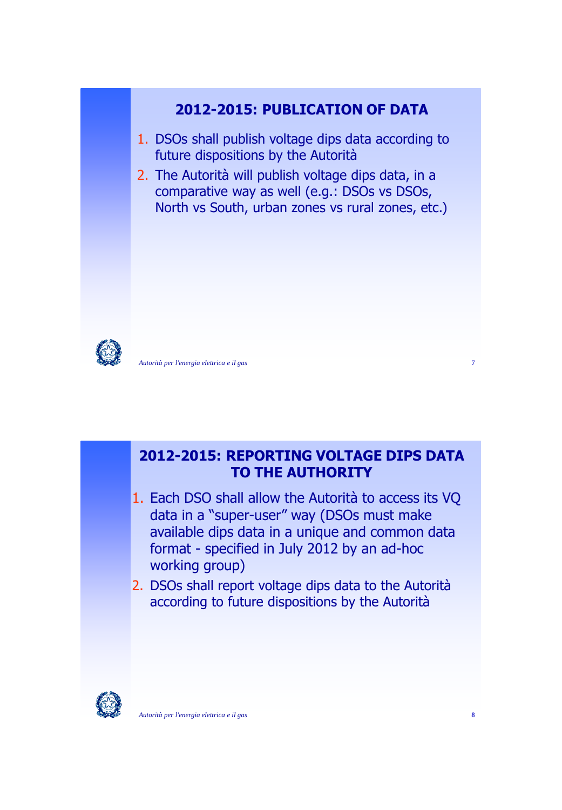



*Autorità per l'energia elettrica e il gas* **7**

# **2012-2015: REPORTING VOLTAGE DIPS DATA TO THE AUTHORITY**

- 1. Each DSO shall allow the Autorità to access its VQ data in a "super-user" way (DSOs must make available dips data in a unique and common data format - specified in July 2012 by an ad-hoc working group)
- 2. DSOs shall report voltage dips data to the Autorità according to future dispositions by the Autorità

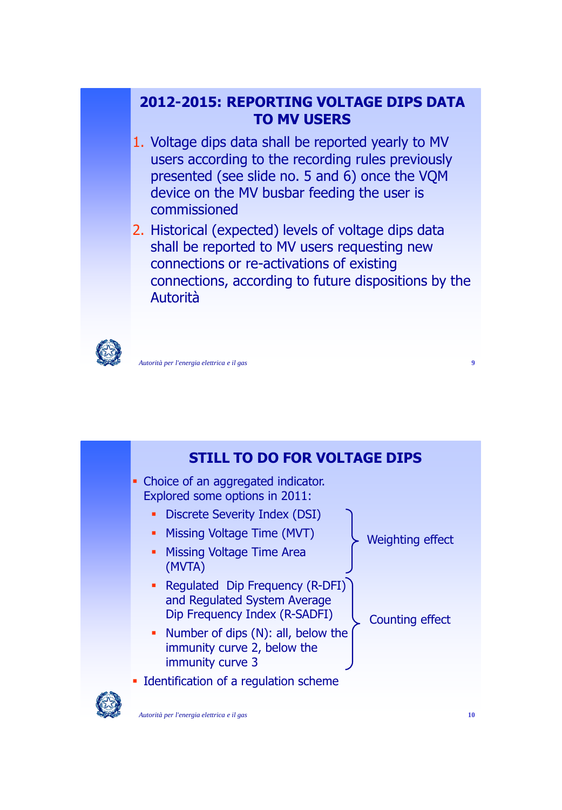# **2012-2015: REPORTING VOLTAGE DIPS DATA TO MV USERS**

- 1. Voltage dips data shall be reported yearly to MV users according to the recording rules previously presented (see slide no. 5 and 6) once the VQM device on the MV busbar feeding the user is commissioned
- 2. Historical (expected) levels of voltage dips data shall be reported to MV users requesting new connections or re-activations of existing connections, according to future dispositions by the Autorità



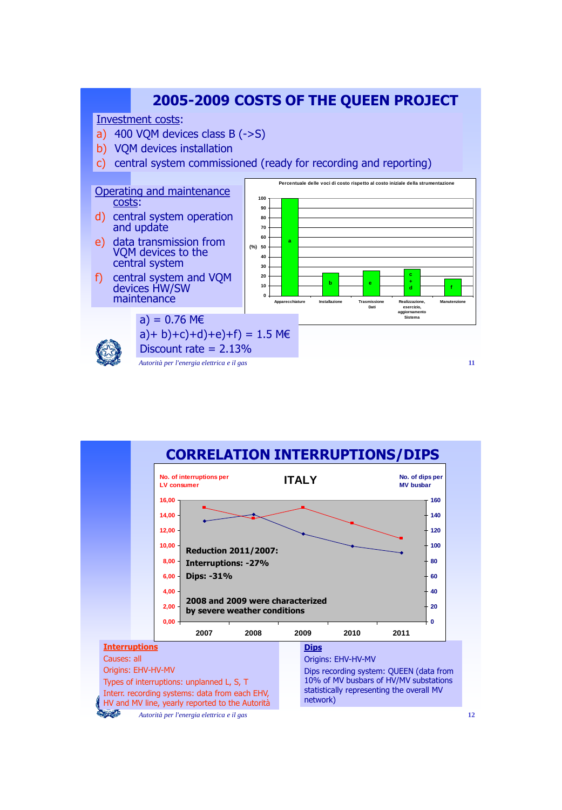

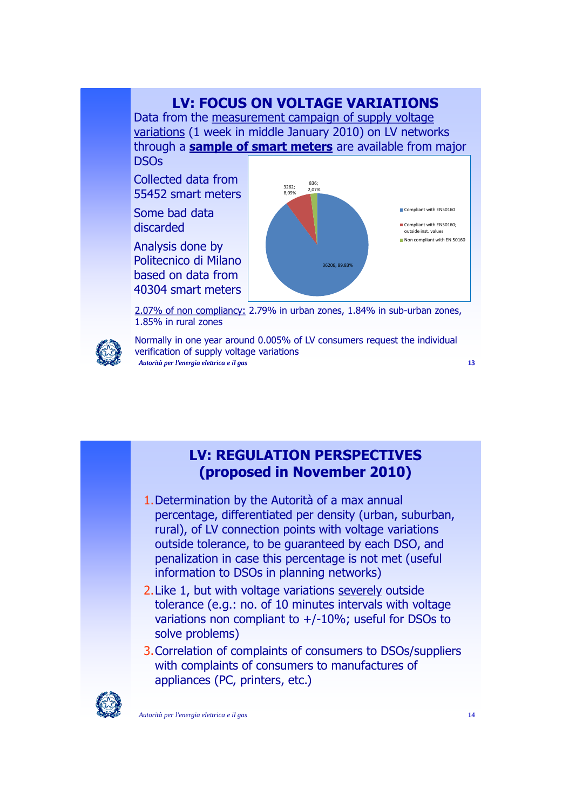# **LV: FOCUS ON VOLTAGE VARIATIONS**

Data from the measurement campaign of supply voltage variations (1 week in middle January 2010) on LV networks through a **sample of smart meters** are available from major **DSOs** 

Collected data from 55452 smart meters

Some bad data discarded

Analysis done by Politecnico di Milano based on data from 40304 smart meters



2.07% of non compliancy: 2.79% in urban zones, 1.84% in sub-urban zones, 1.85% in rural zones



*Autorità per l'energia elettrica e il gas* **13** Normally in one year around 0.005% of LV consumers request the individual verification of supply voltage variations

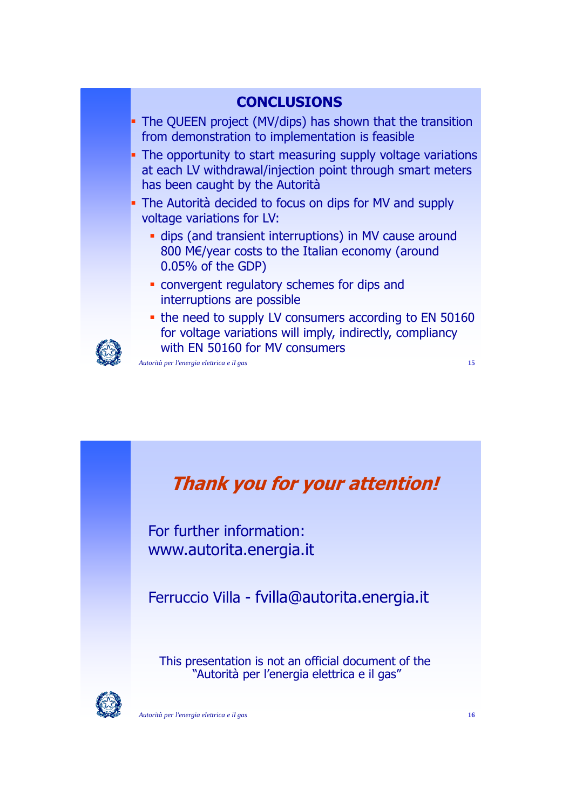



For further information: www.autorita.energia.it

Ferruccio Villa - fvilla@autorita.energia.it

This presentation is not an official document of the "Autorità per l'energia elettrica e il gas"

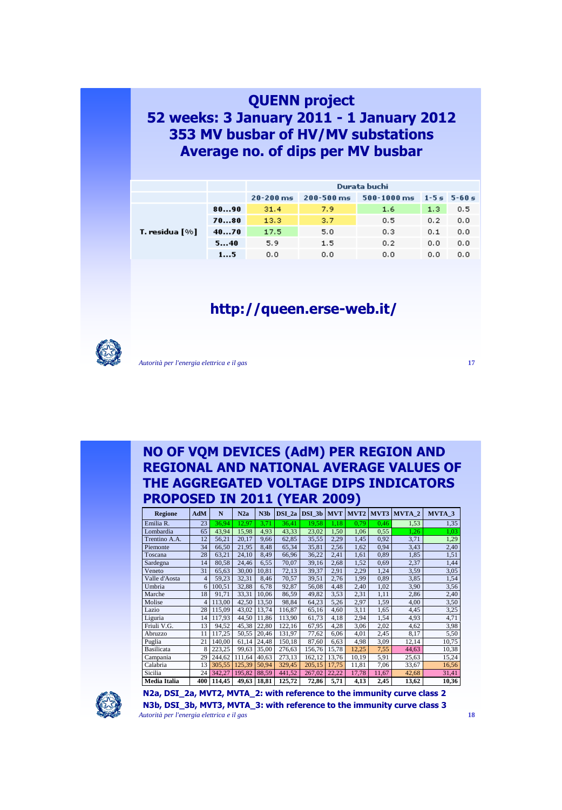### **QUENN project 52 weeks: 3 January 2011 - 1 January 2012 353 MV busbar of HV/MV substations Average no. of dips per MV busbar**

|                |      | Durata buchi  |                                                           |     |     |     |  |
|----------------|------|---------------|-----------------------------------------------------------|-----|-----|-----|--|
|                |      | $20 - 200$ ms | $200 - 500$ ms<br>$500 - 1000$ ms<br>$1 - 5 = 5 - 60 = 1$ |     |     |     |  |
|                | 8090 | 31.4          | 7.9                                                       | 1.6 | 1,3 | 0.5 |  |
|                | 7080 | 13.3          | 3.7                                                       | 0,5 | 0.2 | 0,0 |  |
| T. residua [%] | 4070 | 17.5          | 5.0                                                       | 0,3 | 0.1 | 0,0 |  |
|                | 540  | 5.9           | 1.5                                                       | 0.2 | 0.0 | 0,0 |  |
|                | 15   | 0,0           | 0.0                                                       | 0,0 | 0.0 | 0,0 |  |

# **http://queen.erse-web.it/**



*Autorità per l'energia elettrica e il gas* **17**

#### **NO OF VQM DEVICES (AdM) PER REGION AND REGIONAL AND NATIONAL AVERAGE VALUES OF THE AGGREGATED VOLTAGE DIPS INDICATORS PROPOSED IN 2011 (YEAR 2009)**

| <b>Regione</b> | AdM            | N      | N2a    | N3 <sub>b</sub> | $DSI_2a$ | $DSI_3b$ MVT |       | MVT <sub>2</sub> |       | MVT3 MVTA_2 | MVTA_3 |
|----------------|----------------|--------|--------|-----------------|----------|--------------|-------|------------------|-------|-------------|--------|
| Emilia R.      | 23             | 36,94  | 12,97  | 3,71            | 36,41    | 19,58        | 1,18  | 0.79             | 0.46  | 1,53        | 1,35   |
| Lombardia      | 65             | 43,94  | 15,98  | 4,93            | 43,33    | 23,02        | 1,50  | 1,06             | 0.55  | 1,26        | 1.03   |
| Trentino A.A.  | 12             | 56,21  | 20,17  | 9,66            | 62,85    | 35,55        | 2,29  | 1,45             | 0.92  | 3,71        | 1,29   |
| Piemonte       | 34             | 66,50  | 21,95  | 8,48            | 65,34    | 35,81        | 2,56  | 1,62             | 0.94  | 3,43        | 2,40   |
| Toscana        | 28             | 63,21  | 24,10  | 8,49            | 66,96    | 36,22        | 2,41  | 1,61             | 0.89  | 1,85        | 1,51   |
| Sardegna       | 14             | 80,58  | 24,46  | 6,55            | 70,07    | 39,16        | 2,68  | 1,52             | 0.69  | 2,37        | 1,44   |
| Veneto         | 31             | 65,63  | 30,00  | 10,81           | 72,13    | 39,37        | 2,91  | 2,29             | 1,24  | 3,59        | 3,05   |
| Valle d'Aosta  | $\overline{4}$ | 59,23  | 32,31  | 8,46            | 70,57    | 39,51        | 2,76  | 1,99             | 0,89  | 3,85        | 1,54   |
| Umbria         | 6              | 100,51 | 32,88  | 6,78            | 92,87    | 56,08        | 4,48  | 2,40             | 1,02  | 3,90        | 3,56   |
| Marche         | 18             | 91,71  | 33,31  | 10,06           | 86,59    | 49,82        | 3,53  | 2,31             | 1,11  | 2,86        | 2,40   |
| Molise         | 4              | 113,00 | 42,50  | 13,50           | 98,84    | 64,23        | 5,26  | 2,97             | 1,59  | 4,00        | 3,50   |
| Lazio          | 28             | 115,09 | 43,02  | 13,74           | 116,87   | 65,16        | 4,60  | 3,11             | 1,65  | 4,45        | 3,25   |
| Liguria        | 14             | 117,93 | 44,50  | 11,86           | 113,90   | 61,73        | 4,18  | 2,94             | 1,54  | 4,93        | 4,71   |
| Friuli V.G.    | 13             | 94,52  | 45,38  | 22,80           | 122,16   | 67,95        | 4,28  | 3,06             | 2,02  | 4,62        | 3,98   |
| Abruzzo        | 11             | 117,25 | 50,55  | 20,46           | 131,97   | 77,62        | 6,06  | 4,01             | 2,45  | 8,17        | 5,50   |
| Puglia         | 21             | 140,00 | 61,14  | 24,48           | 150,18   | 87,60        | 6,63  | 4,98             | 3,09  | 12,14       | 10,75  |
| Basilicata     | 8              | 223,25 | 99,63  | 35,00           | 276,63   | 156,76       | 15,78 | 12,25            | 7,55  | 44,63       | 10,38  |
| Campania       | 29             | 244,62 | 111,64 | 40,63           | 273,13   | 162,12       | 13,76 | 10,19            | 5,91  | 25,63       | 15,24  |
| Calabria       | 13             | 305,55 | 125,39 | 50,94           | 329,45   | 205,15       | 17,75 | 11,81            | 7,06  | 33,67       | 16,56  |
| Sicilia        | 24             | 342,27 | 195,82 | 88,59           | 441,52   | 267,02       | 22,22 | 17,78            | 11,67 | 42,68       | 31,41  |
| Media Italia   | 400            | 114,45 | 49,63  | 18,81           | 125,72   | 72,86        | 5,71  | 4,13             | 2,45  | 13,62       | 10,36  |



*Autorità per l'energia elettrica e il gas* **18 N2a, DSI\_2a, MVT2, MVTA\_2: with reference to the immunity curve class 2 N3b, DSI\_3b, MVT3, MVTA\_3: with reference to the immunity curve class 3**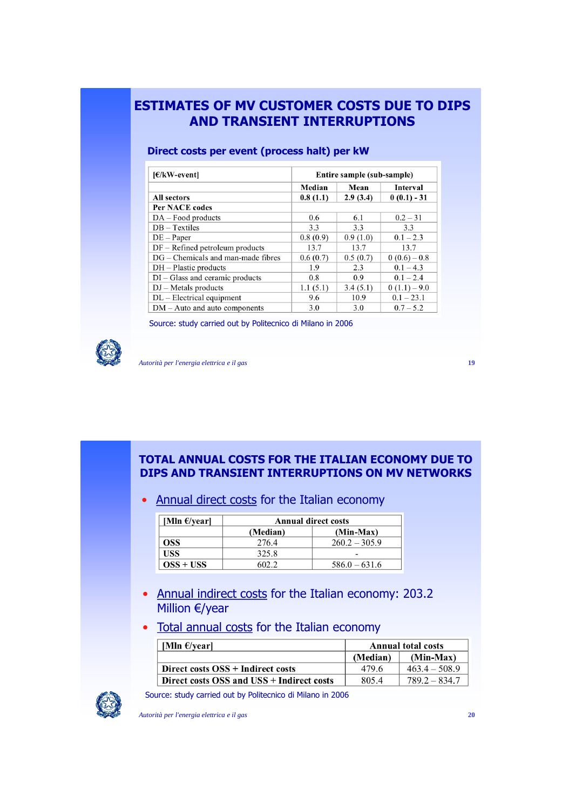### **ESTIMATES OF MV CUSTOMER COSTS DUE TO DIPS AND TRANSIENT INTERRUPTIONS**

| $E/KW$ -event                        | Entire sample (sub-sample) |          |                |  |  |
|--------------------------------------|----------------------------|----------|----------------|--|--|
|                                      | Median                     | Mean     | Interval       |  |  |
| All sectors                          | 0.8(1.1)                   | 2.9(3.4) | $0(0.1) - 31$  |  |  |
| <b>Per NACE codes</b>                |                            |          |                |  |  |
| $DA - Food products$                 | 0.6                        | 6.1      | $0.2 - 31$     |  |  |
| $DB - Textiles$                      | 3.3                        | 3.3      | 3.3            |  |  |
| $DE - Paper$                         | 0.8(0.9)                   | 0.9(1.0) | $0.1 - 2.3$    |  |  |
| $DF - Refined$ petroleum products    | 13.7                       | 13.7     | 13.7           |  |  |
| $DG$ – Chemicals and man-made fibres | 0.6(0.7)                   | 0.5(0.7) | $0(0.6)-0.8$   |  |  |
| $DH - Plastic$ products              | 1.9                        | 2.3      | $0.1 - 4.3$    |  |  |
| $DI - Glass$ and ceramic products    | 0.8                        | 0.9      | $0.1 - 2.4$    |  |  |
| $DJ$ – Metals products               | 1.1(5.1)                   | 3.4(5.1) | $0(1.1) - 9.0$ |  |  |
| $DL$ – Electrical equipment          | 9.6                        | 10.9     | $0.1 - 23.1$   |  |  |
| $DM - Auto$ and auto components      | 3.0                        | 3.0      | $0.7 - 5.2$    |  |  |

#### **Direct costs per event (process halt) per kW**

Source: study carried out by Politecnico di Milano in 2006



*Autorità per l'energia elettrica e il gas* **19**

#### **TOTAL ANNUAL COSTS FOR THE ITALIAN ECONOMY DUE TO DIPS AND TRANSIENT INTERRUPTIONS ON MV NETWORKS**

• Annual direct costs for the Italian economy

| [Mln $\epsilon$ /year] | <b>Annual direct costs</b> |                 |  |  |
|------------------------|----------------------------|-----------------|--|--|
|                        | (Min-Max)<br>(Median)      |                 |  |  |
| OSS.                   | 276.4                      | $260.2 - 305.9$ |  |  |
| USS                    | 325.8                      |                 |  |  |
| $OSS + USS$            |                            | $586.0 - 631.6$ |  |  |

- Annual indirect costs for the Italian economy: 203.2 Million €/year
- Total annual costs for the Italian economy

| [Mln $\epsilon$ /year]                    | <b>Annual total costs</b> |                 |  |
|-------------------------------------------|---------------------------|-----------------|--|
|                                           | $(Min-Max)$<br>(Median)   |                 |  |
| Direct costs OSS + Indirect costs         | 479.6                     | $463.4 - 508.9$ |  |
| Direct costs OSS and USS + Indirect costs | 805.4                     | $789.2 - 834.7$ |  |



Source: study carried out by Politecnico di Milano in 2006